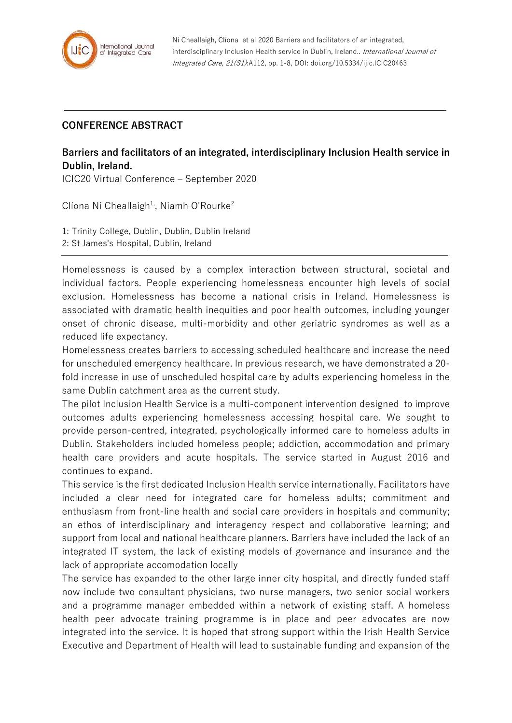

## **CONFERENCE ABSTRACT**

## **Barriers and facilitators of an integrated, interdisciplinary Inclusion Health service in Dublin, Ireland.**

ICIC20 Virtual Conference – September 2020

Clíona Ní Cheallaigh<sup>1,</sup>, Niamh O'Rourke<sup>2</sup>

1: Trinity College, Dublin, Dublin, Dublin Ireland 2: St James's Hospital, Dublin, Ireland

Homelessness is caused by a complex interaction between structural, societal and individual factors. People experiencing homelessness encounter high levels of social exclusion. Homelessness has become a national crisis in Ireland. Homelessness is associated with dramatic health inequities and poor health outcomes, including younger onset of chronic disease, multi-morbidity and other geriatric syndromes as well as a reduced life expectancy.

Homelessness creates barriers to accessing scheduled healthcare and increase the need for unscheduled emergency healthcare. In previous research, we have demonstrated a 20 fold increase in use of unscheduled hospital care by adults experiencing homeless in the same Dublin catchment area as the current study.

The pilot Inclusion Health Service is a multi-component intervention designed to improve outcomes adults experiencing homelessness accessing hospital care. We sought to provide person-centred, integrated, psychologically informed care to homeless adults in Dublin. Stakeholders included homeless people; addiction, accommodation and primary health care providers and acute hospitals. The service started in August 2016 and continues to expand.

This service is the first dedicated Inclusion Health service internationally. Facilitators have included a clear need for integrated care for homeless adults; commitment and enthusiasm from front-line health and social care providers in hospitals and community; an ethos of interdisciplinary and interagency respect and collaborative learning; and support from local and national healthcare planners. Barriers have included the lack of an integrated IT system, the lack of existing models of governance and insurance and the lack of appropriate accomodation locally

The service has expanded to the other large inner city hospital, and directly funded staff now include two consultant physicians, two nurse managers, two senior social workers and a programme manager embedded within a network of existing staff. A homeless health peer advocate training programme is in place and peer advocates are now integrated into the service. It is hoped that strong support within the Irish Health Service Executive and Department of Health will lead to sustainable funding and expansion of the